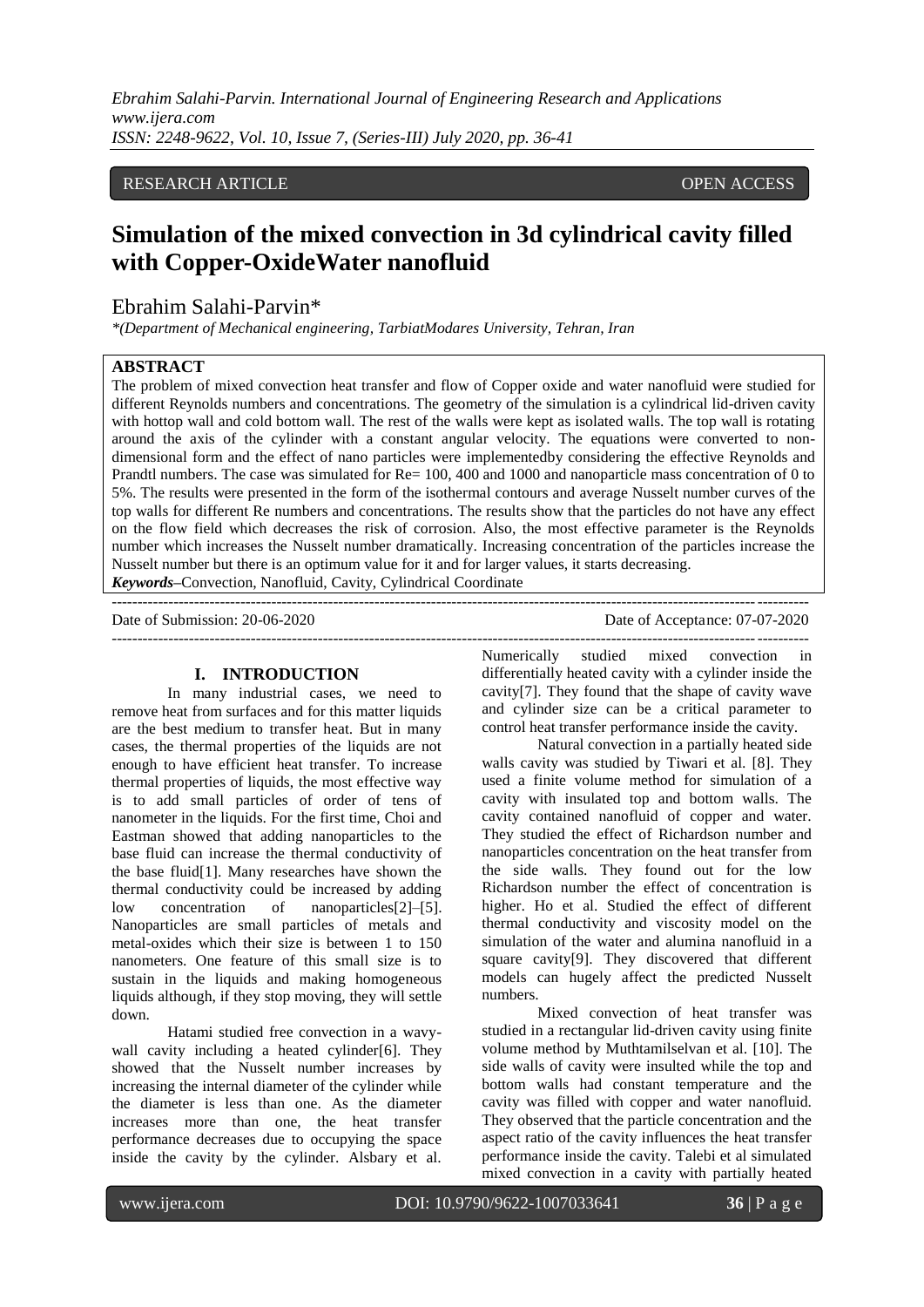*Ebrahim Salahi-Parvin. International Journal of Engineering Research and Applications www.ijera.com ISSN: 2248-9622, Vol. 10, Issue 7, (Series-III) July 2020, pp. 36-41*

## RESEARCH ARTICLE **OPEN ACCESS**

# **Simulation of the mixed convection in 3d cylindrical cavity filled with Copper-OxideWater nanofluid**

# Ebrahim Salahi-Parvin\*

*\*(Department of Mechanical engineering, TarbiatModares University, Tehran, Iran* 

## **ABSTRACT**

The problem of mixed convection heat transfer and flow of Copper oxide and water nanofluid were studied for different Reynolds numbers and concentrations. The geometry of the simulation is a cylindrical lid-driven cavity with hottop wall and cold bottom wall. The rest of the walls were kept as isolated walls. The top wall is rotating around the axis of the cylinder with a constant angular velocity. The equations were converted to nondimensional form and the effect of nano particles were implementedby considering the effective Reynolds and Prandtl numbers. The case was simulated for Re= 100, 400 and 1000 and nanoparticle mass concentration of 0 to 5%. The results were presented in the form of the isothermal contours and average Nusselt number curves of the top walls for different Re numbers and concentrations. The results show that the particles do not have any effect on the flow field which decreases the risk of corrosion. Also, the most effective parameter is the Reynolds number which increases the Nusselt number dramatically. Increasing concentration of the particles increase the Nusselt number but there is an optimum value for it and for larger values, it starts decreasing.

---------------------------------------------------------------------------------------------------------------------------------------

*Keywords***–**Convection, Nanofluid, Cavity, Cylindrical Coordinate

---------------------------------------------------------------------------------------------------------------------------------------

Date of Acceptance: 07-07-2020

### **I. INTRODUCTION**

In many industrial cases, we need to remove heat from surfaces and for this matter liquids are the best medium to transfer heat. But in many cases, the thermal properties of the liquids are not enough to have efficient heat transfer. To increase thermal properties of liquids, the most effective way is to add small particles of order of tens of nanometer in the liquids. For the first time, Choi and Eastman showed that adding nanoparticles to the base fluid can increase the thermal conductivity of the base fluid[1]. Many researches have shown the thermal conductivity could be increased by adding<br>low concentration of nanoparticles<sup>[2]</sup>-[5]. low concentration of nanoparticles[2]–[5]. Nanoparticles are small particles of metals and metal-oxides which their size is between 1 to 150 nanometers. One feature of this small size is to sustain in the liquids and making homogeneous liquids although, if they stop moving, they will settle down.

Hatami studied free convection in a wavywall cavity including a heated cylinder[6]. They showed that the Nusselt number increases by increasing the internal diameter of the cylinder while the diameter is less than one. As the diameter increases more than one, the heat transfer performance decreases due to occupying the space inside the cavity by the cylinder. Alsbary et al.

Numerically studied mixed convection in differentially heated cavity with a cylinder inside the cavity[7]. They found that the shape of cavity wave and cylinder size can be a critical parameter to control heat transfer performance inside the cavity.

Natural convection in a partially heated side walls cavity was studied by Tiwari et al. [8]. They used a finite volume method for simulation of a cavity with insulated top and bottom walls. The cavity contained nanofluid of copper and water. They studied the effect of Richardson number and nanoparticles concentration on the heat transfer from the side walls. They found out for the low Richardson number the effect of concentration is higher. Ho et al. Studied the effect of different thermal conductivity and viscosity model on the simulation of the water and alumina nanofluid in a square cavity[9]. They discovered that different models can hugely affect the predicted Nusselt numbers.

Mixed convection of heat transfer was studied in a rectangular lid-driven cavity using finite volume method by Muthtamilselvan et al. [10]. The side walls of cavity were insulted while the top and bottom walls had constant temperature and the cavity was filled with copper and water nanofluid. They observed that the particle concentration and the aspect ratio of the cavity influences the heat transfer performance inside the cavity. Talebi et al simulated mixed convection in a cavity with partially heated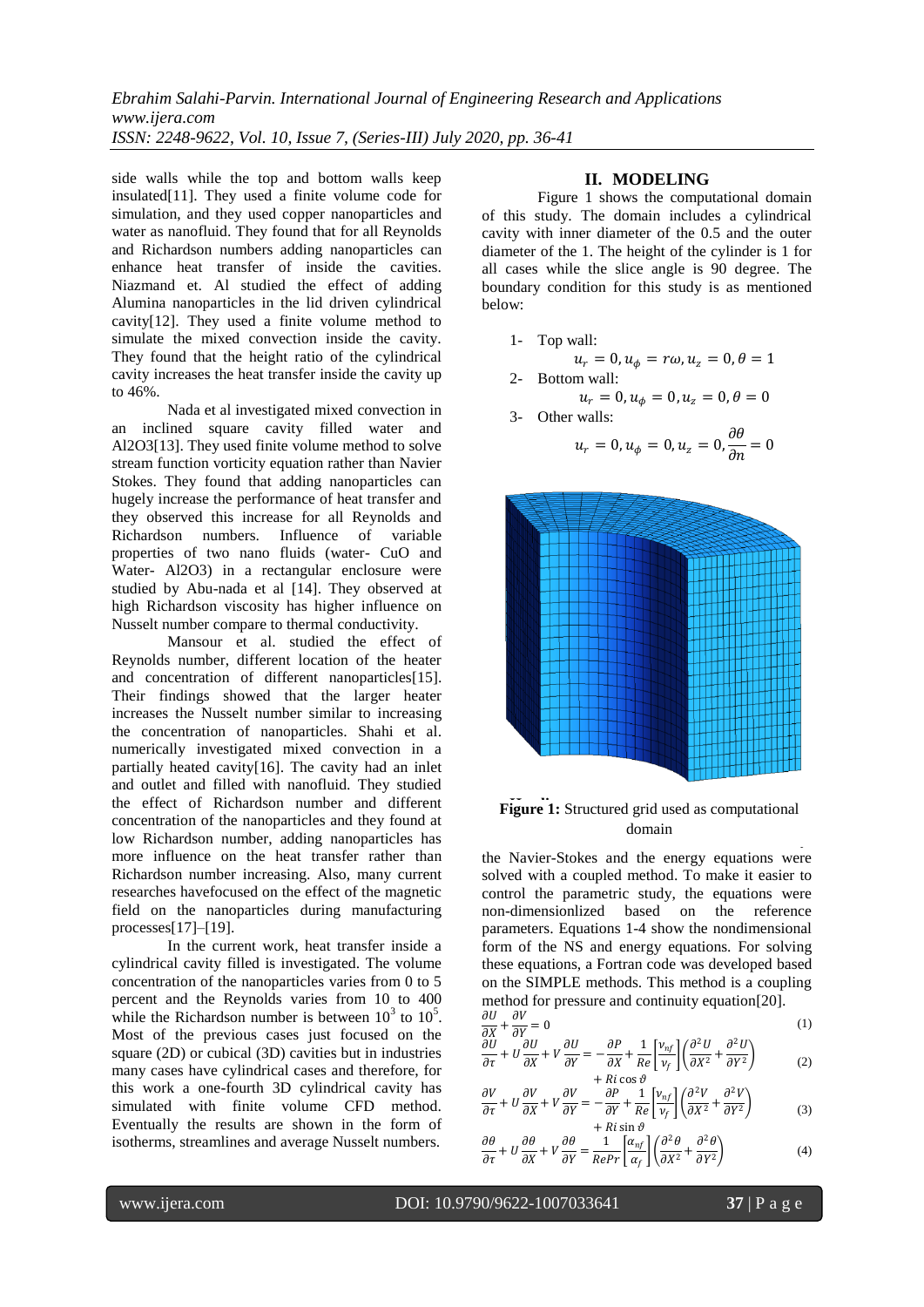side walls while the top and bottom walls keep insulated[11]. They used a finite volume code for simulation, and they used copper nanoparticles and water as nanofluid. They found that for all Reynolds and Richardson numbers adding nanoparticles can enhance heat transfer of inside the cavities. Niazmand et. Al studied the effect of adding Alumina nanoparticles in the lid driven cylindrical cavity[12]. They used a finite volume method to simulate the mixed convection inside the cavity. They found that the height ratio of the cylindrical cavity increases the heat transfer inside the cavity up to 46%.

Nada et al investigated mixed convection in an inclined square cavity filled water and Al2O3[13]. They used finite volume method to solve stream function vorticity equation rather than Navier Stokes. They found that adding nanoparticles can hugely increase the performance of heat transfer and they observed this increase for all Reynolds and Richardson numbers. Influence of variable properties of two nano fluids (water- CuO and Water- Al2O3) in a rectangular enclosure were studied by Abu-nada et al [14]. They observed at high Richardson viscosity has higher influence on Nusselt number compare to thermal conductivity.

Mansour et al. studied the effect of Reynolds number, different location of the heater and concentration of different nanoparticles[15]. Their findings showed that the larger heater increases the Nusselt number similar to increasing the concentration of nanoparticles. Shahi et al. numerically investigated mixed convection in a partially heated cavity[16]. The cavity had an inlet and outlet and filled with nanofluid. They studied the effect of Richardson number and different concentration of the nanoparticles and they found at low Richardson number, adding nanoparticles has more influence on the heat transfer rather than Richardson number increasing. Also, many current researches havefocused on the effect of the magnetic field on the nanoparticles during manufacturing processes[17]–[19].

In the current work, heat transfer inside a cylindrical cavity filled is investigated. The volume concentration of the nanoparticles varies from 0 to 5 percent and the Reynolds varies from 10 to 400 while the Richardson number is between  $10^3$  to  $10^5$ . Most of the previous cases just focused on the square (2D) or cubical (3D) cavities but in industries many cases have cylindrical cases and therefore, for this work a one-fourth 3D cylindrical cavity has simulated with finite volume CFD method. Eventually the results are shown in the form of isotherms, streamlines and average Nusselt numbers.

## **II. MODELING**

[Figure 1](#page-1-0) shows the computational domain of this study. The domain includes a cylindrical cavity with inner diameter of the 0.5 and the outer diameter of the 1. The height of the cylinder is 1 for all cases while the slice angle is 90 degree. The boundary condition for this study is as mentioned below:

1- Top wall:

$$
u_r = 0, u_{\phi} = r\omega, u_z = 0, \theta = 1
$$
  
2- Bottom wall:

$$
u_r = 0, u_{\phi} = 0, u_z = 0, \theta = 0
$$

3- Other walls:

$$
u_r = 0, u_{\phi} = 0, u_z = 0, \frac{\partial \theta}{\partial n} = 0
$$



#### <span id="page-1-0"></span>**Figure 1:** Structured grid used as computational The **headings** and **subheadings**, starting with domain $\frac{1}{\sqrt{2}}$

the Navier-Stokes and the energy equations were solved with a coupled method. To make it easier to control the parametric study, the equations were non-dimensionlized based on the reference parameters. Equations 1-4 show the nondimensional form of the NS and energy equations. For solving these equations, a Fortran code was developed based on the SIMPLE methods. This method is a coupling method for pressure and continuity equation[20].

$$
\frac{\partial U}{\partial X} + \frac{\partial V}{\partial Y} = 0\tag{1}
$$

$$
\frac{\partial U}{\partial \tau} + U \frac{\partial U}{\partial X} + V \frac{\partial U}{\partial Y} = -\frac{\partial P}{\partial X} + \frac{1}{Re} \left[ \frac{v_{nf}}{v_f} \right] \left( \frac{\partial^2 U}{\partial X^2} + \frac{\partial^2 U}{\partial Y^2} \right)
$$
  
+ *Ri cos θ* (2)

$$
\frac{\partial V}{\partial \tau} + U \frac{\partial V}{\partial X} + V \frac{\partial V}{\partial Y} = -\frac{\partial P}{\partial Y} + \frac{1}{Re} \left[ \frac{v_{nf}}{v_f} \right] \left( \frac{\partial^2 V}{\partial X^2} + \frac{\partial^2 V}{\partial Y^2} \right)
$$
(3)

$$
\frac{\partial \theta}{\partial \tau} + U \frac{\partial \theta}{\partial X} + V \frac{\partial \theta}{\partial Y} = \frac{1}{RePr} \left[ \frac{\alpha_{nf}}{\alpha_f} \right] \left( \frac{\partial^2 \theta}{\partial X^2} + \frac{\partial^2 \theta}{\partial Y^2} \right)
$$
(4)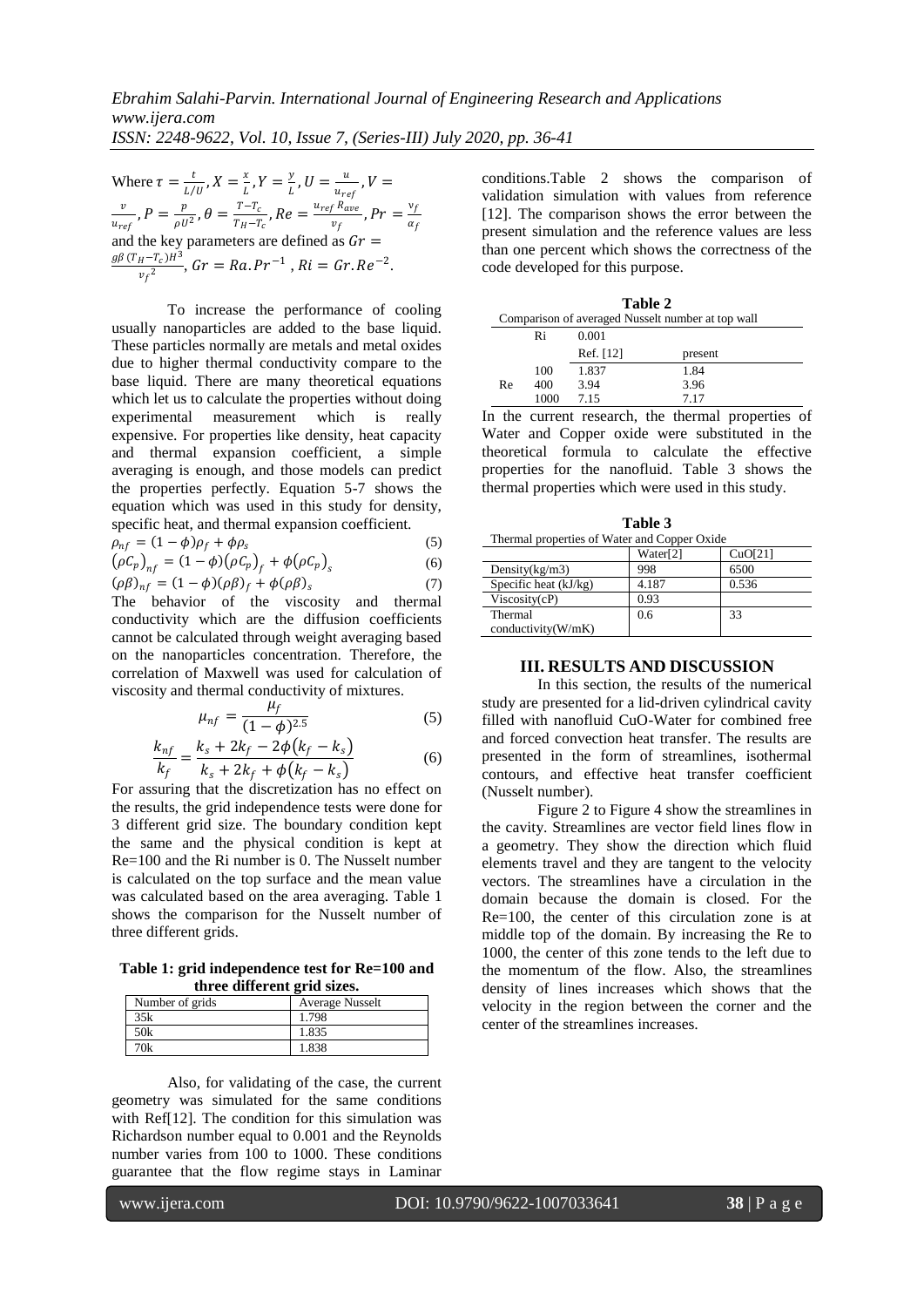Where  $\tau = \frac{t}{\sqrt{2}}$  $\frac{t}{L/U}$  ,  $X = \frac{x}{L}$  $\frac{x}{L}$ ,  $Y = \frac{y}{L}$  $\frac{y}{L}$ ,  $U=\frac{u}{u_{re}}$  $\frac{u}{u_{ref}}$ ,  $V =$  $\boldsymbol{v}$  $\frac{v}{u_{ref}}$ ,  $P = \frac{p}{\rho U}$  $\frac{p}{\rho\,U^{\,2}}$  ,  $\theta=\frac{T-T_{c}}{T_{H}-T_{c}}$  $\frac{T-T_c}{T_H-T_c}$  ,  $Re = \frac{u_{ref} R_{ave}}{v_f}$  $\frac{f}{v_f}^{Rave}$ ,  $Pr = \frac{v_f}{\alpha_f}$  $\alpha_f$ and the key parameters are defined as  $Gr =$  $g\beta$  (T<sub>H</sub> –T<sub>c</sub>)H<sup>3</sup>  $\frac{H^{-1}c_2H^{-1}}{v_f^2}$ ,  $Gr = Ra.Pr^{-1}$ ,  $Ri = Gr.Re^{-2}$ .

To increase the performance of cooling usually nanoparticles are added to the base liquid. These particles normally are metals and metal oxides due to higher thermal conductivity compare to the base liquid. There are many theoretical equations which let us to calculate the properties without doing experimental measurement which is really expensive. For properties like density, heat capacity and thermal expansion coefficient, a simple averaging is enough, and those models can predict the properties perfectly. Equation 5-7 shows the equation which was used in this study for density, specific heat, and thermal expansion coefficient.

$$
\rho_{nf} = (1 - \phi)\rho_f + \phi\rho_s \tag{5}
$$

$$
(\rho C_p)_{nf} = (1 - \phi)(\rho C_p)_{f} + \phi(\rho C_p)_{s}
$$
\n(6)

$$
(\rho \beta)_{nf} = (1 - \phi)(\rho \beta)_f + \phi(\rho \beta)_s \tag{7}
$$

The behavior of the viscosity and thermal conductivity which are the diffusion coefficients cannot be calculated through weight averaging based on the nanoparticles concentration. Therefore, the correlation of Maxwell was used for calculation of viscosity and thermal conductivity of mixtures.

$$
\mu_{nf} = \frac{\mu_f}{(1 - \phi)^{2.5}}
$$
 (5)

$$
\frac{k_{nf}}{k_f} = \frac{k_s + 2k_f - 2\phi(k_f - k_s)}{k_s + 2k_f + \phi(k_f - k_s)}
$$
(6)

For assuring that the discretization has no effect on the results, the grid independence tests were done for 3 different grid size. The boundary condition kept the same and the physical condition is kept at Re=100 and the Ri number is 0. The Nusselt number is calculated on the top surface and the mean value was calculated based on the area averaging. [Table 1](#page-2-0) shows the comparison for the Nusselt number of three different grids.

<span id="page-2-0"></span>**Table 1: grid independence test for Re=100 and three different grid sizes.**

| Number of grids | <b>Average Nusselt</b> |
|-----------------|------------------------|
| 35k             | 1.798                  |
| 50k             | 1.835                  |
| 'Ok             | 1.838                  |

Also, for validating of the case, the current geometry was simulated for the same conditions with Ref[12]. The condition for this simulation was Richardson number equal to 0.001 and the Reynolds number varies from 100 to 1000. These conditions guarantee that the flow regime stays in Laminar condition[s.Table 2](#page-2-1) shows the comparison of validation simulation with values from reference [12]. The comparison shows the error between the present simulation and the reference values are less than one percent which shows the correctness of the code developed for this purpose.

<span id="page-2-1"></span>

| Table 2                                           |      |           |         |  |  |
|---------------------------------------------------|------|-----------|---------|--|--|
| Comparison of averaged Nusselt number at top wall |      |           |         |  |  |
|                                                   | Ri   | 0.001     |         |  |  |
|                                                   |      | Ref. [12] | present |  |  |
|                                                   | 100  | 1.837     | 1.84    |  |  |
| Re                                                | 400  | 3.94      | 3.96    |  |  |
|                                                   | 1000 | 7.15      | 7.17    |  |  |

In the current research, the thermal properties of Water and Copper oxide were substituted in the theoretical formula to calculate the effective properties for the nanofluid. [Table 3](#page-2-2) shows the thermal properties which were used in this study.

<span id="page-2-2"></span>

| Table 3<br>Thermal properties of Water and Copper Oxide |                      |         |  |  |
|---------------------------------------------------------|----------------------|---------|--|--|
|                                                         | Water <sup>[2]</sup> | CuO[21] |  |  |
| Density $(kg/m3)$                                       | 998                  | 6500    |  |  |
| Specific heat $(kJ/kg)$                                 | 4.187                | 0.536   |  |  |
| Viscosity(cP)                                           | 0.93                 |         |  |  |
| Thermal<br>conductivity(W/mK)                           | 0.6                  | 33      |  |  |

#### **III. RESULTS AND DISCUSSION**

In this section, the results of the numerical study are presented for a lid-driven cylindrical cavity filled with nanofluid CuO-Water for combined free and forced convection heat transfer. The results are presented in the form of streamlines, isothermal contours, and effective heat transfer coefficient (Nusselt number).

[Figure 2](#page-3-0) to [Figure 4](#page-3-1) show the streamlines in the cavity. Streamlines are vector field lines flow in a geometry. They show the direction which fluid elements travel and they are tangent to the velocity vectors. The streamlines have a circulation in the domain because the domain is closed. For the Re=100, the center of this circulation zone is at middle top of the domain. By increasing the Re to 1000, the center of this zone tends to the left due to the momentum of the flow. Also, the streamlines density of lines increases which shows that the velocity in the region between the corner and the center of the streamlines increases.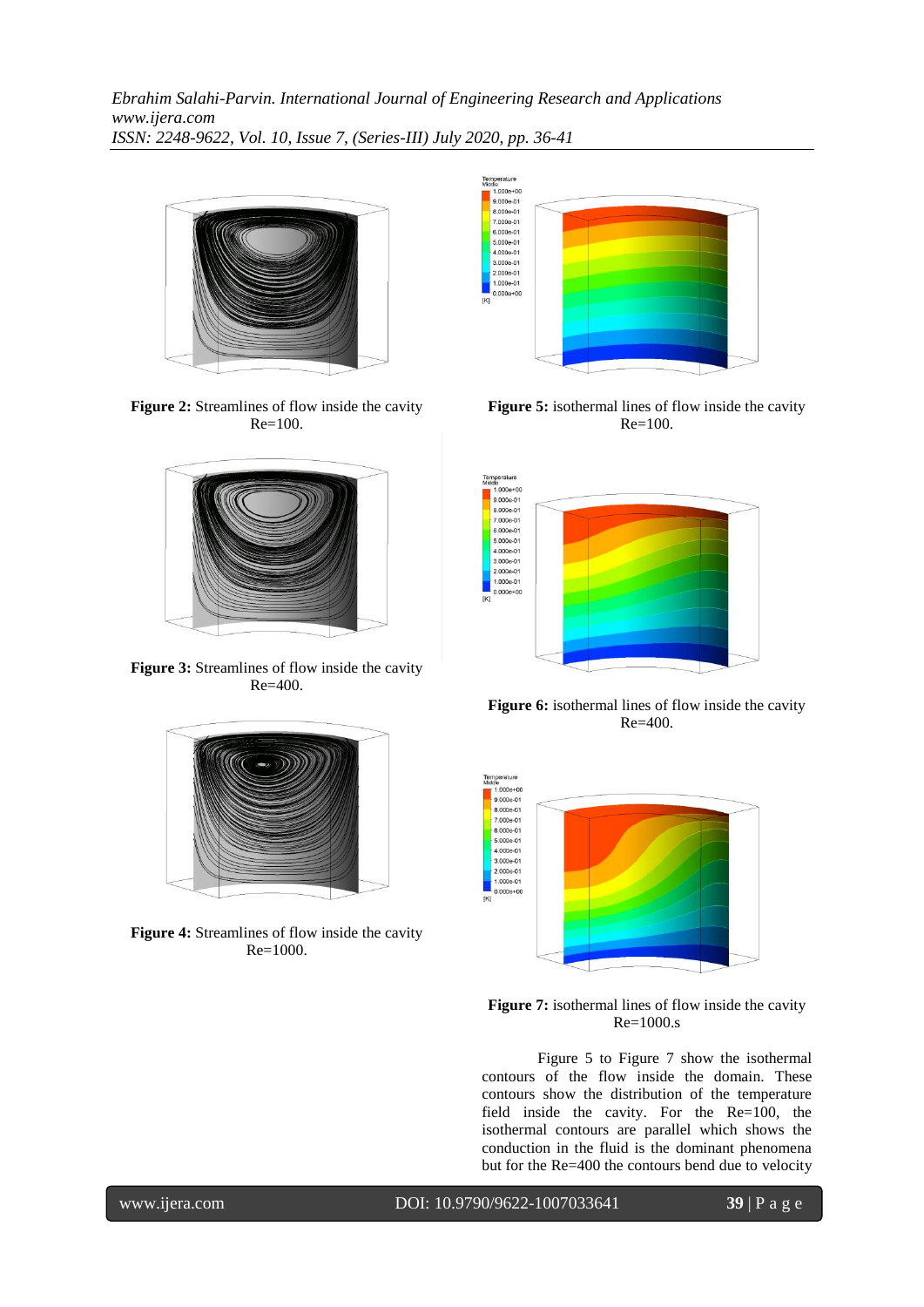*Ebrahim Salahi-Parvin. International Journal of Engineering Research and Applications www.ijera.com ISSN: 2248-9622, Vol. 10, Issue 7, (Series-III) July 2020, pp. 36-41*



**Figure 2:** Streamlines of flow inside the cavity Re=100.

<span id="page-3-0"></span>

Figure 3: Streamlines of flow inside the cavity Re=400.



<span id="page-3-1"></span>**Figure 4:** Streamlines of flow inside the cavity Re=1000.



<span id="page-3-2"></span>**Figure 5:** isothermal lines of flow inside the cavity Re=100.



Figure 6: isothermal lines of flow inside the cavity Re=400.



<span id="page-3-3"></span>Figure 7: isothermal lines of flow inside the cavity Re=1000.s

[Figure 5](#page-3-2) to [Figure 7](#page-3-3) show the isothermal contours of the flow inside the domain. These contours show the distribution of the temperature field inside the cavity. For the Re=100, the isothermal contours are parallel which shows the conduction in the fluid is the dominant phenomena but for the Re=400 the contours bend due to velocity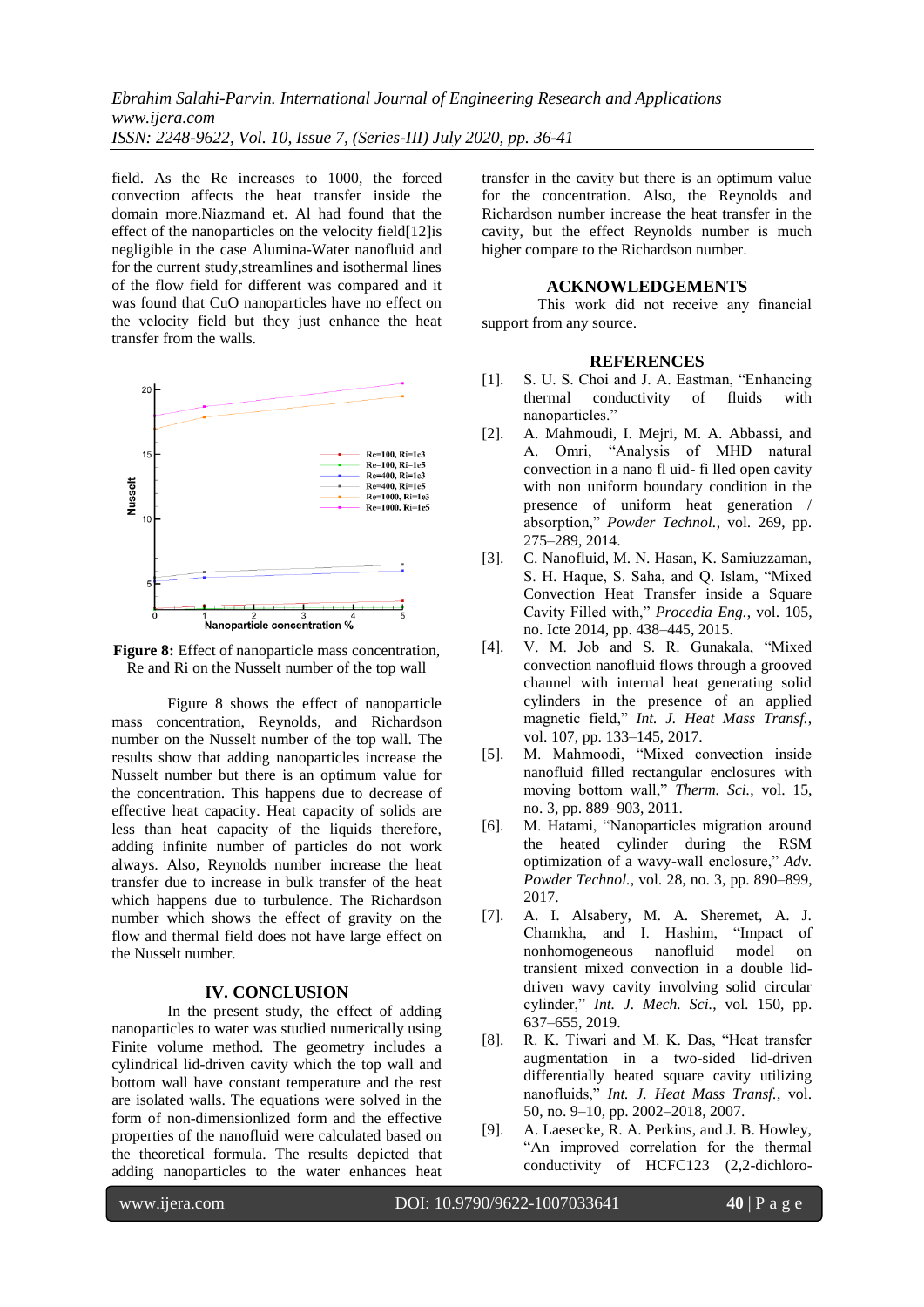*Ebrahim Salahi-Parvin. International Journal of Engineering Research and Applications www.ijera.com ISSN: 2248-9622, Vol. 10, Issue 7, (Series-III) July 2020, pp. 36-41*

field. As the Re increases to 1000, the forced convection affects the heat transfer inside the domain more.Niazmand et. Al had found that the effect of the nanoparticles on the velocity field[12]is negligible in the case Alumina-Water nanofluid and for the current study,streamlines and isothermal lines of the flow field for different was compared and it was found that CuO nanoparticles have no effect on the velocity field but they just enhance the heat transfer from the walls.



<span id="page-4-0"></span>Figure 8: Effect of nanoparticle mass concentration, Re and Ri on the Nusselt number of the top wall

[Figure 8](#page-4-0) shows the effect of nanoparticle mass concentration, Reynolds, and Richardson number on the Nusselt number of the top wall. The results show that adding nanoparticles increase the Nusselt number but there is an optimum value for the concentration. This happens due to decrease of effective heat capacity. Heat capacity of solids are less than heat capacity of the liquids therefore, adding infinite number of particles do not work always. Also, Reynolds number increase the heat transfer due to increase in bulk transfer of the heat which happens due to turbulence. The Richardson number which shows the effect of gravity on the flow and thermal field does not have large effect on the Nusselt number.

#### **IV. CONCLUSION**

In the present study, the effect of adding nanoparticles to water was studied numerically using Finite volume method. The geometry includes a cylindrical lid-driven cavity which the top wall and bottom wall have constant temperature and the rest are isolated walls. The equations were solved in the form of non-dimensionlized form and the effective properties of the nanofluid were calculated based on the theoretical formula. The results depicted that adding nanoparticles to the water enhances heat

transfer in the cavity but there is an optimum value for the concentration. Also, the Reynolds and Richardson number increase the heat transfer in the cavity, but the effect Reynolds number is much higher compare to the Richardson number.

#### **ACKNOWLEDGEMENTS**

This work did not receive any financial support from any source.

#### **REFERENCES**

- [1]. S. U. S. Choi and J. A. Eastman, "Enhancing conductivity of fluids nanoparticles."
- [2]. A. Mahmoudi, I. Mejri, M. A. Abbassi, and A. Omri, "Analysis of MHD natural convection in a nano fl uid- fi lled open cavity with non uniform boundary condition in the presence of uniform heat generation / absorption," *Powder Technol.*, vol. 269, pp. 275–289, 2014.
- [3]. C. Nanofluid, M. N. Hasan, K. Samiuzzaman, S. H. Haque, S. Saha, and Q. Islam, "Mixed Convection Heat Transfer inside a Square Cavity Filled with," *Procedia Eng.*, vol. 105, no. Icte 2014, pp. 438–445, 2015.
- [4]. V. M. Job and S. R. Gunakala, "Mixed convection nanofluid flows through a grooved channel with internal heat generating solid cylinders in the presence of an applied magnetic field," *Int. J. Heat Mass Transf.*, vol. 107, pp. 133–145, 2017.
- [5]. M. Mahmoodi, "Mixed convection inside nanofluid filled rectangular enclosures with moving bottom wall," *Therm. Sci.*, vol. 15, no. 3, pp. 889–903, 2011.
- [6]. M. Hatami, "Nanoparticles migration around the heated cylinder during the RSM optimization of a wavy-wall enclosure," *Adv. Powder Technol.*, vol. 28, no. 3, pp. 890–899, 2017.
- [7]. A. I. Alsabery, M. A. Sheremet, A. J. Chamkha, and I. Hashim, "Impact of nonhomogeneous nanofluid model on transient mixed convection in a double liddriven wavy cavity involving solid circular cylinder," *Int. J. Mech. Sci.*, vol. 150, pp. 637–655, 2019.
- [8]. R. K. Tiwari and M. K. Das, "Heat transfer augmentation in a two-sided lid-driven differentially heated square cavity utilizing nanofluids," *Int. J. Heat Mass Transf.*, vol. 50, no. 9–10, pp. 2002–2018, 2007.
- [9]. A. Laesecke, R. A. Perkins, and J. B. Howley, "An improved correlation for the thermal conductivity of HCFC123 (2,2-dichloro-